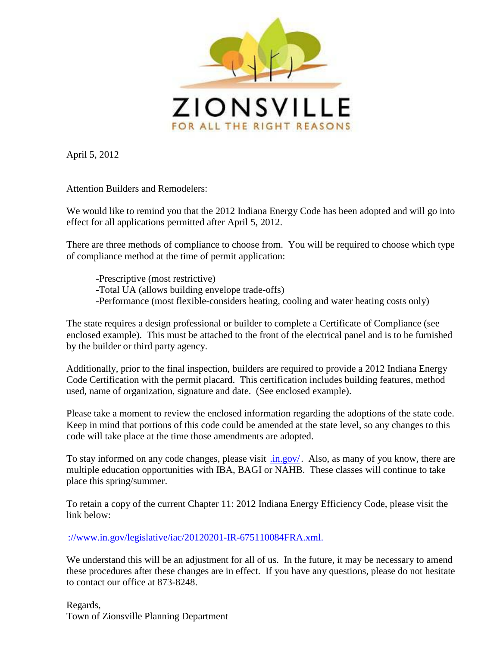

April 5, 2012

Attention Builders and Remodelers:

We would like to remind you that the 2012 Indiana Energy Code has been adopted and will go into effect for all applications permitted after April 5, 2012.

There are three methods of compliance to choose from. You will be required to choose which type of compliance method at the time of permit application:

-Prescriptive (most restrictive) -Total UA (allows building envelope trade-offs) -Performance (most flexible-considers heating, cooling and water heating costs only)

The state requires a design professional or builder to complete a Certificate of Compliance (see enclosed example). This must be attached to the front of the electrical panel and is to be furnished by the builder or third party agency.

Additionally, prior to the final inspection, builders are required to provide a 2012 Indiana Energy Code Certification with the permit placard. This certification includes building features, method used, name of organization, signature and date. (See enclosed example).

Please take a moment to review the enclosed information regarding the adoptions of the state code. Keep in mind that portions of this code could be amended at the state level, so any changes to this code will take place at the time those amendments are adopted.

To stay informed on any code changes, please visit [.in.gov/.](http://www.in.gov/dhs) Also, as many of you know, there are multiple education opportunities with IBA, BAGI or NAHB. These classes will continue to take place this spring/summer.

To retain a copy of the current Chapter 11: 2012 Indiana Energy Efficiency Code, please visit the link below:

[://www.in.gov/legislative/iac/20120201-IR-675110084FRA.xml.](http://www.in.gov/legislative/iac/20120201-IR-675110084FRA.xml.pdf)

We understand this will be an adjustment for all of us. In the future, it may be necessary to amend these procedures after these changes are in effect. If you have any questions, please do not hesitate to contact our office at 873-8248.

Regards, Town of Zionsville Planning Department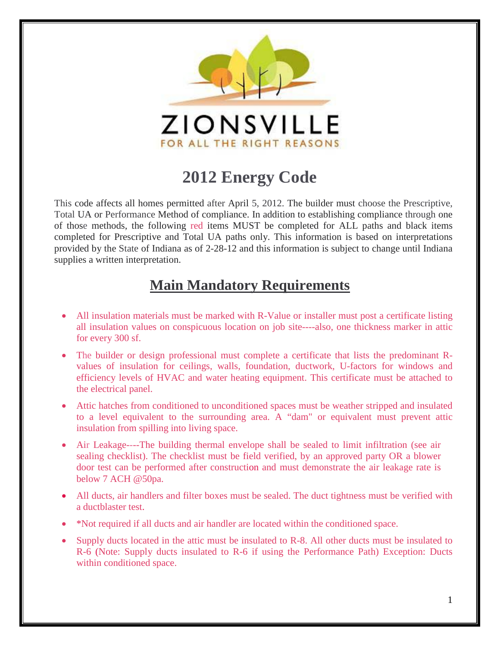

## **2012 Energy Code**

This code affects all homes permitted after April 5, 2012. The builder must choose the Prescriptive, Total UA or Performance Method of compliance. In addition to establishing compliance through one of those methods, the following red items MUST be completed for ALL paths and black items completed for Prescriptive and Total UA paths only. This information is based on interpretations provided by the State of Indiana as of 2-28-12 and this information is subject to change until Indiana supplies a written interpretation.

#### **Main Mandatory Requirements**

- All insulation materials must be marked with R-Value or installer must post a certificate listing all insulation values on conspicuous location on job site----also, one thickness marker in attic for every 300 sf.
- The builder or design professional must complete a certificate that lists the predominant Rvalues of insulation for ceilings, walls, foundation, ductwork, U-factors for windows and efficiency levels of HVAC and water heating equipment. This certificate must be attached to the electrical panel.
- Attic hatches from conditioned to unconditioned spaces must be weather stripped and insulated to a level equivalent to the surrounding area. A "dam" or equivalent must prevent attic insulation from spilling into living space.
- Air Leakage----The building thermal envelope shall be sealed to limit infiltration (see air sealing checklist). The checklist must be field verified, by an approved party OR a blower door test can be performed after construction and must demonstrate the air leakage rate is below 7 ACH @50pa.
- All ducts, air handlers and filter boxes must be sealed. The duct tightness must be verified with a ductblaster test.
- \*Not required if all ducts and air handler are located within the conditioned space.
- Supply ducts located in the attic must be insulated to R-8. All other ducts must be insulated to R-6 (Note: Supply ducts insulated to R-6 if using the Performance Path) Exception: Ducts within conditioned space.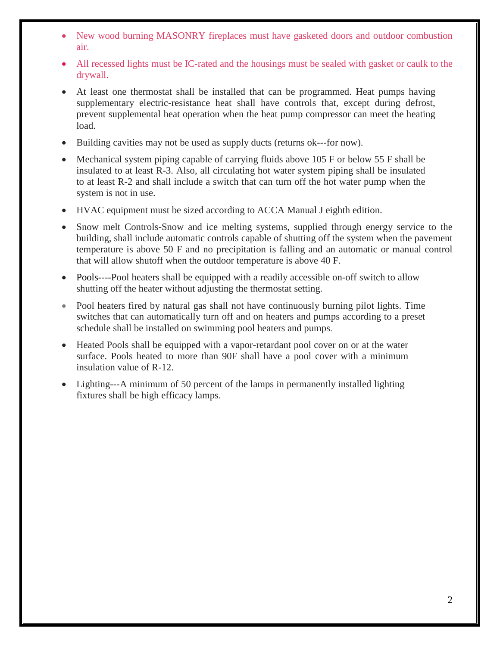- New wood burning MASONRY fireplaces must have gasketed doors and outdoor combustion air.
- All recessed lights must be IC-rated and the housings must be sealed with gasket or caulk to the drywall.
- At least one thermostat shall be installed that can be programmed. Heat pumps having supplementary electric-resistance heat shall have controls that, except during defrost, prevent supplemental heat operation when the heat pump compressor can meet the heating load.
- Building cavities may not be used as supply ducts (returns ok---for now).
- Mechanical system piping capable of carrying fluids above 105 F or below 55 F shall be insulated to at least R-3. Also, all circulating hot water system piping shall be insulated to at least R-2 and shall include a switch that can turn off the hot water pump when the system is not in use.
- HVAC equipment must be sized according to ACCA Manual J eighth edition.
- Snow melt Controls-Snow and ice melting systems, supplied through energy service to the building, shall include automatic controls capable of shutting off the system when the pavement temperature is above 50 F and no precipitation is falling and an automatic or manual control that will allow shutoff when the outdoor temperature is above 40 F.
- Pools----Pool heaters shall be equipped with a readily accessible on-off switch to allow shutting off the heater without adjusting the thermostat setting.
- Pool heaters fired by natural gas shall not have continuously burning pilot lights. Time switches that can automatically turn off and on heaters and pumps according to a preset schedule shall be installed on swimming pool heaters and pumps.
- Heated Pools shall be equipped with a vapor-retardant pool cover on or at the water surface. Pools heated to more than 90F shall have a pool cover with a minimum insulation value of R-12.
- Lighting---A minimum of 50 percent of the lamps in permanently installed lighting fixtures shall be high efficacy lamps.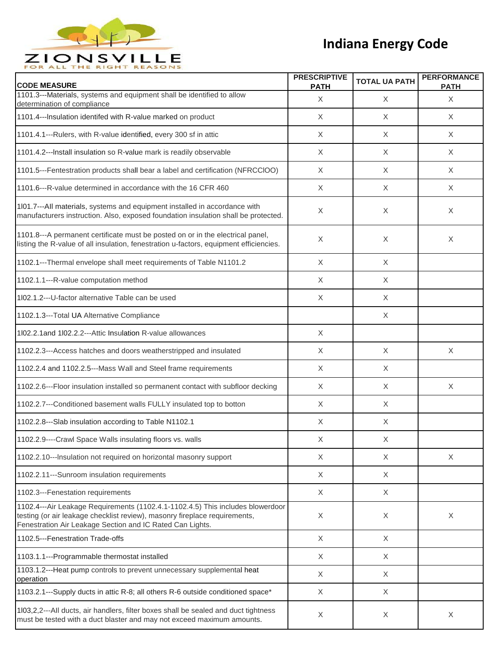

| <b>CODE MEASURE</b>                                                                                                                                                                                                       | <b>PRESCRIPTIVE</b><br><b>PATH</b> | <b>TOTAL UA PATH</b> | <b>PERFORMANCE</b><br><b>PATH</b> |
|---------------------------------------------------------------------------------------------------------------------------------------------------------------------------------------------------------------------------|------------------------------------|----------------------|-----------------------------------|
| 1101.3---Materials, systems and equipment shall be identified to allow<br>determination of compliance                                                                                                                     | X                                  | X                    | X                                 |
| 1101.4---Insulation identifed with R-value marked on product                                                                                                                                                              | $\times$                           | X                    | $\times$                          |
| 1101.4.1---Rulers, with R-value identified, every 300 sf in attic                                                                                                                                                         | $\times$                           | X                    | X                                 |
| 1101.4.2---Install insulation so R-value mark is readily observable                                                                                                                                                       | X                                  | X                    | $\times$                          |
| 1101.5---Fentestration products shall bear a label and certification (NFRCCIOO)                                                                                                                                           | X                                  | X                    | X                                 |
| 1101.6---R-value determined in accordance with the 16 CFR 460                                                                                                                                                             | X                                  | X                    | X                                 |
| 101.7---All materials, systems and equipment installed in accordance with<br>manufacturers instruction. Also, exposed foundation insulation shall be protected.                                                           | X                                  | X                    | X                                 |
| 1101.8---A permanent certificate must be posted on or in the electrical panel,<br>listing the R-value of all insulation, fenestration u-factors, equipment efficiencies.                                                  | X                                  | X                    | X                                 |
| 1102.1---Thermal envelope shall meet requirements of Table N1101.2                                                                                                                                                        | $\times$                           | X                    |                                   |
| 1102.1.1---R-value computation method                                                                                                                                                                                     | X                                  | X                    |                                   |
| 1l02.1.2---U-factor alternative Table can be used                                                                                                                                                                         | $\times$                           | X                    |                                   |
| 1102.1.3---Total UA Alternative Compliance                                                                                                                                                                                |                                    | X                    |                                   |
| 1l02.2.1 and 1l02.2.2---Attic Insulation R-value allowances                                                                                                                                                               | $\times$                           |                      |                                   |
| 1102.2.3---Access hatches and doors weatherstripped and insulated                                                                                                                                                         | $\times$                           | X                    | $\times$                          |
| 1102.2.4 and 1102.2.5---Mass Wall and Steel frame requirements                                                                                                                                                            | $\times$                           | X                    |                                   |
| 1102.2.6---Floor insulation installed so permanent contact with subfloor decking                                                                                                                                          | X                                  | $\times$             | X                                 |
| 1102.2.7---Conditioned basement walls FULLY insulated top to botton                                                                                                                                                       | X                                  | X                    |                                   |
| 1102.2.8---Slab insulation according to Table N1102.1                                                                                                                                                                     | X                                  | X                    |                                   |
| 1102.2.9----Crawl Space Walls insulating floors vs. walls                                                                                                                                                                 | X                                  | х                    |                                   |
| 1102.2.10---Insulation not required on horizontal masonry support                                                                                                                                                         | $\times$                           | $\times$             | $\times$                          |
| 1102.2.11---Sunroom insulation requirements                                                                                                                                                                               | X                                  | X                    |                                   |
| 1102.3---Fenestation requirements                                                                                                                                                                                         | X                                  | X                    |                                   |
| 1102.4---Air Leakage Requirements (1102.4.1-1102.4.5) This includes blowerdoor<br>testing (or air leakage checklist review), masonry fireplace requirements,<br>Fenestration Air Leakage Section and IC Rated Can Lights. | X                                  | $\times$             | $\times$                          |
| 1102.5---Fenestration Trade-offs                                                                                                                                                                                          | X                                  | X                    |                                   |
| 1103.1.1---Programmable thermostat installed                                                                                                                                                                              | X                                  | X                    |                                   |
| 1103.1.2---Heat pump controls to prevent unnecessary supplemental heat<br>operation                                                                                                                                       | X                                  | X                    |                                   |
| 1103.2.1---Supply ducts in attic R-8; all others R-6 outside conditioned space*                                                                                                                                           | X                                  | X                    |                                   |
| 103,2,2---All ducts, air handlers, filter boxes shall be sealed and duct tightness<br>must be tested with a duct blaster and may not exceed maximum amounts.                                                              | X                                  | X                    | X                                 |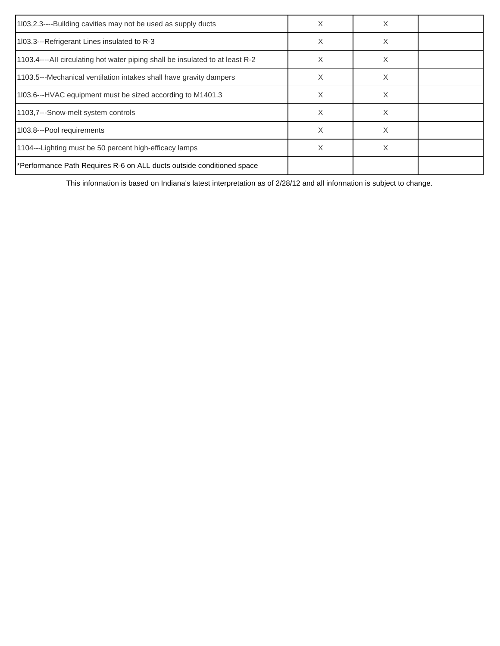| 1103,2.3----Building cavities may not be used as supply ducts                 | X | X |  |
|-------------------------------------------------------------------------------|---|---|--|
| 1103.3---Refrigerant Lines insulated to R-3                                   | X | X |  |
| 1103.4----All circulating hot water piping shall be insulated to at least R-2 | X | X |  |
| 1103.5---Mechanical ventilation intakes shall have gravity dampers            | X | X |  |
| 1103.6---HVAC equipment must be sized according to M1401.3                    | X | X |  |
| 1103,7---Snow-melt system controls                                            | X | X |  |
| 1103.8---Pool requirements                                                    | X | X |  |
| 1104---Lighting must be 50 percent high-efficacy lamps                        | X | X |  |
| *Performance Path Requires R-6 on ALL ducts outside conditioned space         |   |   |  |

This information is based on Indiana's latest interpretation as of 2/28/12 and all information is subject to change.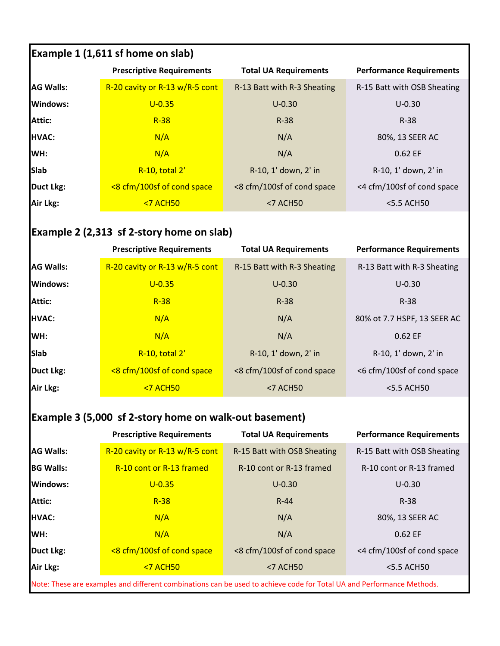| <b>Example 1 (1,611 sf home on slab)</b> |                                  |                              |                                 |
|------------------------------------------|----------------------------------|------------------------------|---------------------------------|
|                                          | <b>Prescriptive Requirements</b> | <b>Total UA Requirements</b> | <b>Performance Requirements</b> |
| <b>AG Walls:</b>                         | R-20 cavity or R-13 w/R-5 cont   | R-13 Batt with R-3 Sheating  | R-15 Batt with OSB Sheating     |
| Windows:                                 | $U - 0.35$                       | $U - 0.30$                   | $U-0.30$                        |
| <b>Attic:</b>                            | $R-38$                           | $R-38$                       | $R-38$                          |
| <b>HVAC:</b>                             | N/A                              | N/A                          | 80%, 13 SEER AC                 |
| WH:                                      | N/A                              | N/A                          | 0.62 EF                         |
| <b>Slab</b>                              | R-10, total 2'                   | R-10, 1' down, 2' in         | R-10, 1' down, 2' in            |
| <b>Duct Lkg:</b>                         | <8 cfm/100sf of cond space       | <8 cfm/100sf of cond space   | <4 cfm/100sf of cond space      |
| Air Lkg:                                 | $<$ 7 ACH50                      | $<$ 7 ACH50                  | <5.5 ACH50                      |

# **Example 2 (2,313 sf 2-story home on slab)**

|                  | <b>Prescriptive Requirements</b> | <b>Total UA Requirements</b> | <b>Performance Requirements</b> |
|------------------|----------------------------------|------------------------------|---------------------------------|
| <b>AG Walls:</b> | R-20 cavity or R-13 w/R-5 cont   | R-15 Batt with R-3 Sheating  | R-13 Batt with R-3 Sheating     |
| Windows:         | $U - 0.35$                       | $U - 0.30$                   | $U - 0.30$                      |
| Attic:           | $R-38$                           | $R-38$                       | $R-38$                          |
| HVAC:            | N/A                              | N/A                          | 80% ot 7.7 HSPF, 13 SEER AC     |
| WH:              | N/A                              | N/A                          | 0.62 EF                         |
| <b>Slab</b>      | R-10, total 2'                   | R-10, 1' down, 2' in         | R-10, 1' down, 2' in            |
| Duct Lkg:        | <8 cfm/100sf of cond space       | <8 cfm/100sf of cond space   | <6 cfm/100sf of cond space      |
| Air Lkg:         | <b>&lt;7 ACH50</b>               | <7 ACH50                     | <5.5 ACH50                      |

### **Example 3 (5,000 sf 2-story home on walk-out basement)**

|                                                                                                                       | <b>Prescriptive Requirements</b> | <b>Total UA Requirements</b> | <b>Performance Requirements</b> |
|-----------------------------------------------------------------------------------------------------------------------|----------------------------------|------------------------------|---------------------------------|
| <b>AG Walls:</b>                                                                                                      | R-20 cavity or R-13 w/R-5 cont   | R-15 Batt with OSB Sheating  | R-15 Batt with OSB Sheating     |
| <b>BG Walls:</b>                                                                                                      | R-10 cont or R-13 framed         | R-10 cont or R-13 framed     | R-10 cont or R-13 framed        |
| Windows:                                                                                                              | $U - 0.35$                       | $U - 0.30$                   | $U - 0.30$                      |
| Attic:                                                                                                                | $R-38$                           | $R-44$                       | $R-38$                          |
| <b>HVAC:</b>                                                                                                          | N/A                              | N/A                          | 80%, 13 SEER AC                 |
| WH:                                                                                                                   | N/A                              | N/A                          | 0.62 EF                         |
| <b>Duct Lkg:</b>                                                                                                      | <8 cfm/100sf of cond space       | <8 cfm/100sf of cond space   | <4 cfm/100sf of cond space      |
| Air Lkg:                                                                                                              | $<$ 7 ACH50                      | <7 ACH50                     | <5.5 ACH50                      |
| Note: These are examples and different combinations can be used to achieve code for Total UA and Performance Methods. |                                  |                              |                                 |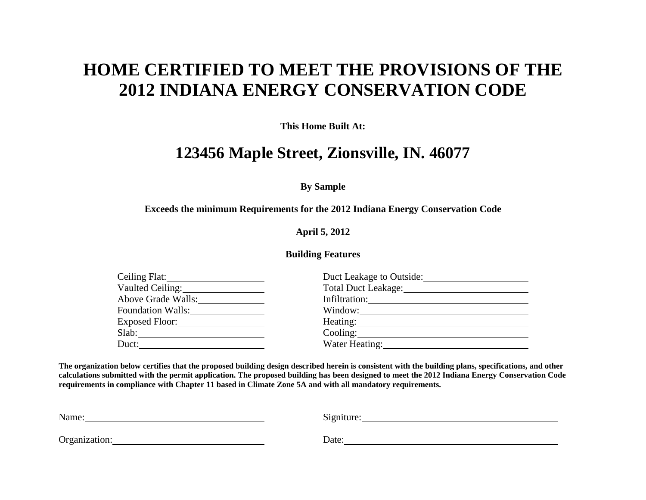## **HOME CERTIFIED TO MEET THE PROVISIONS OF THE 2012 INDIANA ENERGY CONSERVATION CODE**

**This Home Built At:**

### **123456 Maple Street, Zionsville, IN. 46077**

**By Sample**

#### **Exceeds the minimum Requirements for the 2012 Indiana Energy Conservation Code**

**April 5, 2012**

#### **Building Features**

|                          | Duct Leakage to Outside: |
|--------------------------|--------------------------|
| Vaulted Ceiling:         |                          |
| Above Grade Walls:       |                          |
| <b>Foundation Walls:</b> | Window:                  |
|                          |                          |
| Slab:                    |                          |
| Duct:                    |                          |
|                          |                          |

**The organization below certifies that the proposed building design described herein is consistent with the building plans, specifications, and other calculations submitted with the permit application. The proposed building has been designed to meet the 2012 Indiana Energy Conservation Code requirements in compliance with Chapter 11 based in Climate Zone 5A and with all mandatory requirements.**

| Name:         | $\sim$ $\sim$<br>Signiture: |
|---------------|-----------------------------|
|               |                             |
| Organization: | Date:                       |